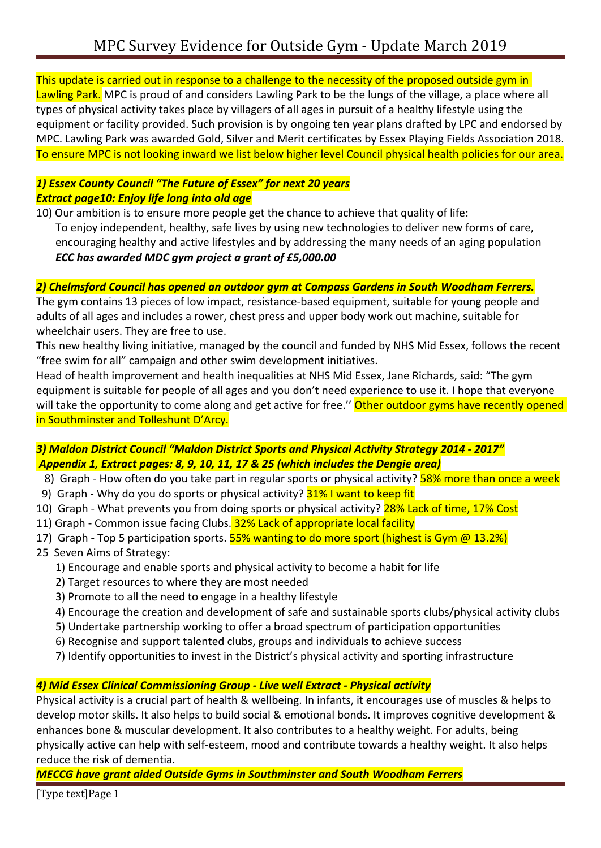This update is carried out in response to a challenge to the necessity of the proposed outside gym in Lawling Park. MPC is proud of and considers Lawling Park to be the lungs of the village, a place where all types of physical activity takes place by villagers of all ages in pursuit of a healthy lifestyle using the equipment or facility provided. Such provision is by ongoing ten year plans drafted by LPC and endorsed by MPC. Lawling Park was awarded Gold, Silver and Merit certificates by Essex Playing Fields Association 2018. To ensure MPC is not looking inward we list below higher level Council physical health policies for our area.

# *1) Essex County Council "The Future of Essex" for next 20 years Extract page10: Enjoy life long into old age*

10) Our ambition is to ensure more people get the chance to achieve that quality of life: To enjoy independent, healthy, safe lives by using new technologies to deliver new forms of care, encouraging healthy and active lifestyles and by addressing the many needs of an aging population *ECC has awarded MDC gym project a grant of £5,000.00*

# *2) Chelmsford Council has opened an outdoor gym at Compass Gardens in South Woodham Ferrers.*

The gym contains 13 pieces of low impact, resistance-based equipment, suitable for young people and adults of all ages and includes a rower, chest press and upper body work out machine, suitable for wheelchair users. They are free to use.

This new healthy living initiative, managed by the council and funded by NHS Mid Essex, follows the recent "free swim for all" campaign and other swim development initiatives.

Head of health improvement and health inequalities at NHS Mid Essex, Jane Richards, said: "The gym equipment is suitable for people of all ages and you don't need experience to use it. I hope that everyone will take the opportunity to come along and get active for free." Other outdoor gyms have recently opened in Southminster and Tolleshunt D'Arcy.

## *3) Maldon District Council "Maldon District Sports and Physical Activity Strategy 2014 - 2017" Appendix 1, Extract pages: 8, 9, 10, 11, 17 & 25 (which includes the Dengie area)*

- 8) Graph How often do you take part in regular sports or physical activity? 58% more than once a week
- 9) Graph Why do you do sports or physical activity? 31% I want to keep fit
- 10) Graph What prevents you from doing sports or physical activity? 28% Lack of time, 17% Cost
- 11) Graph Common issue facing Clubs. 32% Lack of appropriate local facility
- 17) Graph Top 5 participation sports. **55% wanting to do more sport (highest is Gym @ 13.2%)**
- 25 Seven Aims of Strategy:
	- 1) Encourage and enable sports and physical activity to become a habit for life
	- 2) Target resources to where they are most needed
	- 3) Promote to all the need to engage in a healthy lifestyle
	- 4) Encourage the creation and development of safe and sustainable sports clubs/physical activity clubs
	- 5) Undertake partnership working to offer a broad spectrum of participation opportunities
	- 6) Recognise and support talented clubs, groups and individuals to achieve success
	- 7) Identify opportunities to invest in the District's physical activity and sporting infrastructure

# *4) Mid Essex Clinical Commissioning Group - Live well Extract - Physical activity*

Physical activity is a crucial part of health & wellbeing. In infants, it encourages use of muscles & helps to develop motor skills. It also helps to build social & emotional bonds. It improves cognitive development & enhances bone & muscular development. It also contributes to a healthy weight. For adults, being physically active can help with self-esteem, mood and contribute towards a healthy weight. It also helps reduce the risk of dementia.

*MECCG have grant aided Outside Gyms in Southminster and South Woodham Ferrers*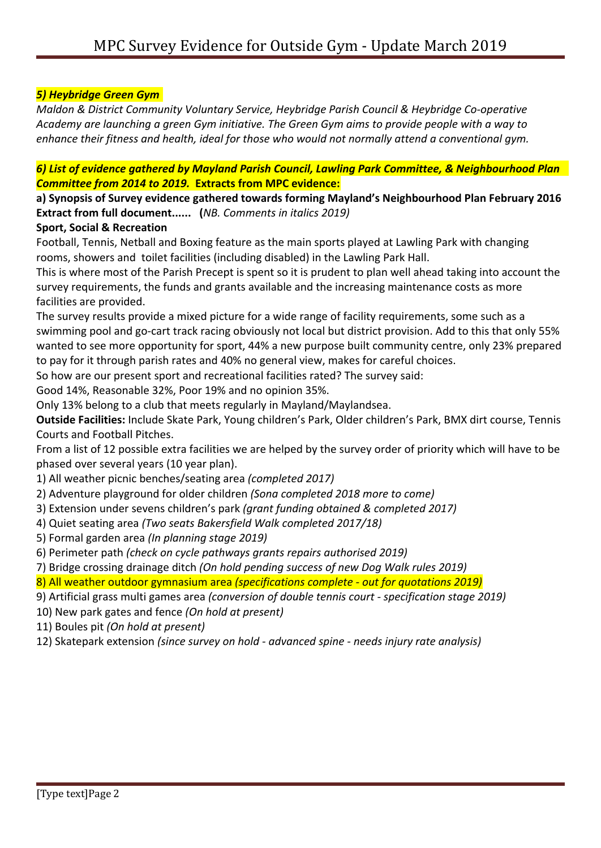# *5) Heybridge Green Gym*

*Maldon & District Community Voluntary Service, Heybridge Parish Council & Heybridge Co-operative Academy are launching a green Gym initiative. The Green Gym aims to provide people with a way to enhance their fitness and health, ideal for those who would not normally attend a conventional gym.*

*6) List of evidence gathered by Mayland Parish Council, Lawling Park Committee, & Neighbourhood Plan Committee from 2014 to 2019.* **Extracts from MPC evidence:**

**a) Synopsis of Survey evidence gathered towards forming Mayland's Neighbourhood Plan February 2016 Extract from full document...... (***NB. Comments in italics 2019)*

## **Sport, Social & Recreation**

Football, Tennis, Netball and Boxing feature as the main sports played at Lawling Park with changing rooms, showers and toilet facilities (including disabled) in the Lawling Park Hall.

This is where most of the Parish Precept is spent so it is prudent to plan well ahead taking into account the survey requirements, the funds and grants available and the increasing maintenance costs as more facilities are provided.

The survey results provide a mixed picture for a wide range of facility requirements, some such as a swimming pool and go-cart track racing obviously not local but district provision. Add to this that only 55% wanted to see more opportunity for sport, 44% a new purpose built community centre, only 23% prepared to pay for it through parish rates and 40% no general view, makes for careful choices.

So how are our present sport and recreational facilities rated? The survey said:

Good 14%, Reasonable 32%, Poor 19% and no opinion 35%.

Only 13% belong to a club that meets regularly in Mayland/Maylandsea.

**Outside Facilities:** Include Skate Park, Young children's Park, Older children's Park, BMX dirt course, Tennis Courts and Football Pitches.

From a list of 12 possible extra facilities we are helped by the survey order of priority which will have to be phased over several years (10 year plan).

- 1) All weather picnic benches/seating area *(completed 2017)*
- 2) Adventure playground for older children *(Sona completed 2018 more to come)*
- 3) Extension under sevens children's park *(grant funding obtained & completed 2017)*
- 4) Quiet seating area *(Two seats Bakersfield Walk completed 2017/18)*
- 5) Formal garden area *(In planning stage 2019)*
- 6) Perimeter path *(check on cycle pathways grants repairs authorised 2019)*
- 
- 7) Bridge crossing drainage ditch *(On hold pending success of new Dog Walk rules 2019)* 8) All weather outdoor gymnasium area *(specifications complete out for quotations 2019)*
- 9) Artificial grass multi games area *(conversion of double tennis court specification stage 2019)*
- 10) New park gates and fence *(On hold at present)*
- 11) Boules pit *(On hold at present)*
- 12) Skatepark extension *(since survey on hold advanced spine needs injury rate analysis)*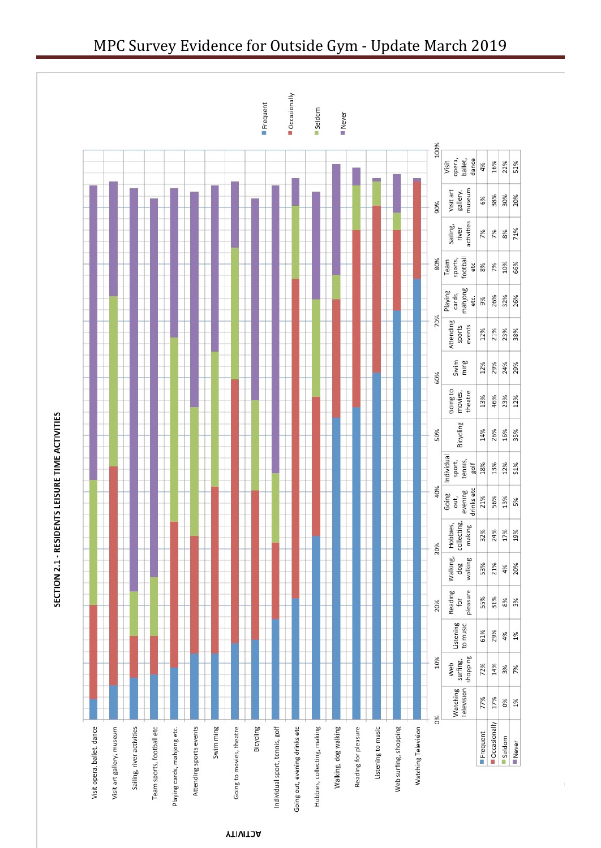

# MPC Survey Evidence for Outside Gym - Update March 2019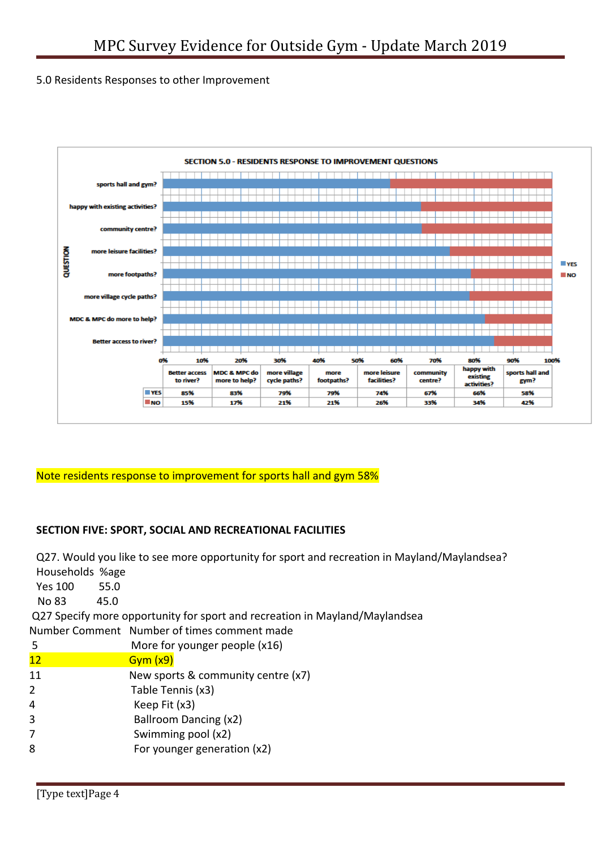#### 5.0 Residents Responses to other Improvement



Note residents response to improvement for sports hall and gym 58%

# **SECTION FIVE: SPORT, SOCIAL AND RECREATIONAL FACILITIES**

|                 | Q27. Would you like to see more opportunity for sport and recreation in Mayland/Maylandsea? |
|-----------------|---------------------------------------------------------------------------------------------|
| Households %age |                                                                                             |
| <b>Yes 100</b>  | 55.0                                                                                        |
| No 83           | 45.0                                                                                        |
|                 | Q27 Specify more opportunity for sport and recreation in Mayland/Maylandsea                 |
|                 | Number Comment Number of times comment made                                                 |
| 5               | More for younger people (x16)                                                               |
| 12 <sup>2</sup> | Gym(x9)                                                                                     |
| 11              | New sports & community centre (x7)                                                          |
| $\overline{2}$  | Table Tennis (x3)                                                                           |
| 4               | Keep Fit $(x3)$                                                                             |
| 3               | Ballroom Dancing (x2)                                                                       |
| 7               | Swimming pool (x2)                                                                          |

8 For younger generation (x2)